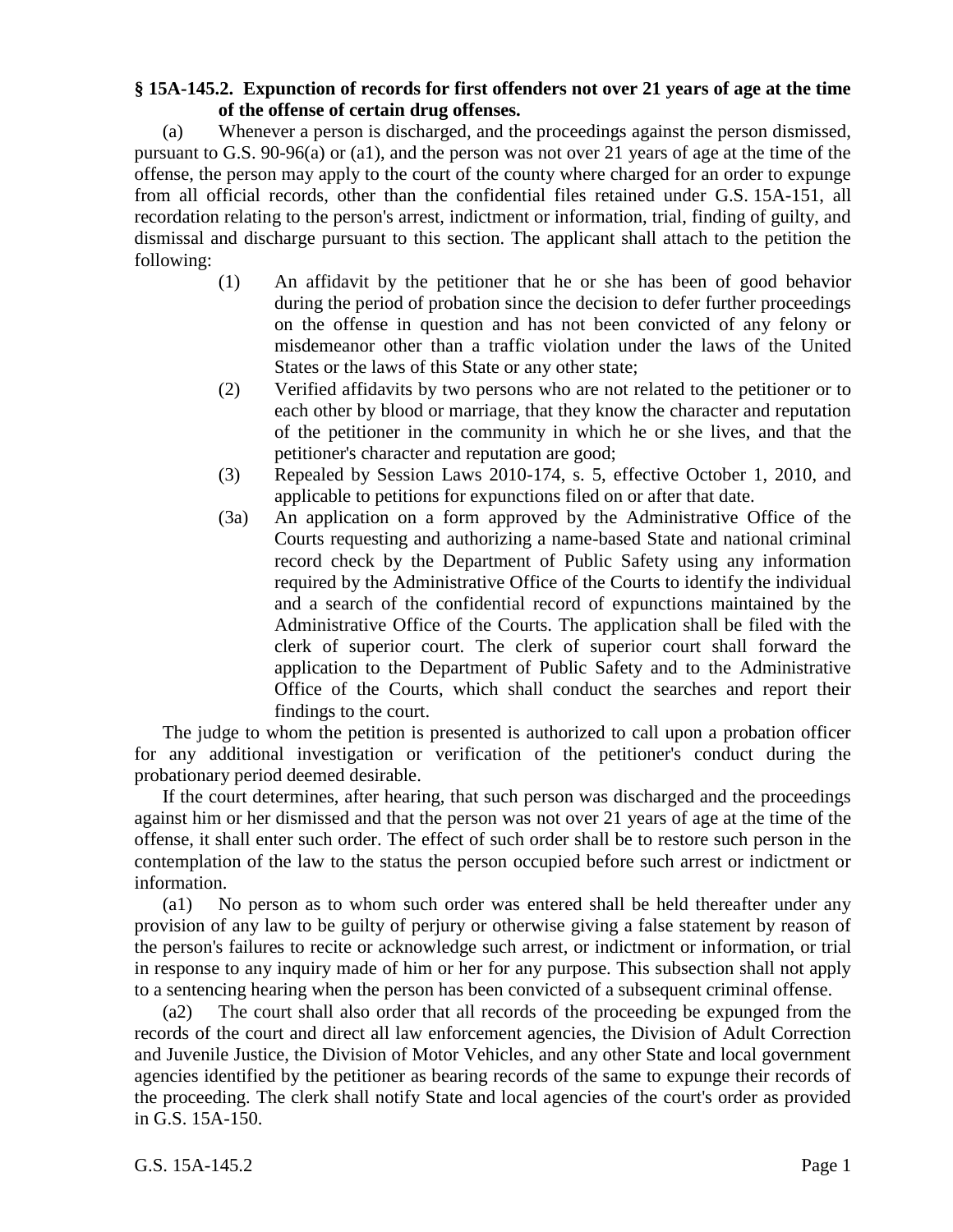## **§ 15A-145.2. Expunction of records for first offenders not over 21 years of age at the time of the offense of certain drug offenses.**

(a) Whenever a person is discharged, and the proceedings against the person dismissed, pursuant to G.S. 90-96(a) or (a1), and the person was not over 21 years of age at the time of the offense, the person may apply to the court of the county where charged for an order to expunge from all official records, other than the confidential files retained under G.S. 15A-151, all recordation relating to the person's arrest, indictment or information, trial, finding of guilty, and dismissal and discharge pursuant to this section. The applicant shall attach to the petition the following:

- (1) An affidavit by the petitioner that he or she has been of good behavior during the period of probation since the decision to defer further proceedings on the offense in question and has not been convicted of any felony or misdemeanor other than a traffic violation under the laws of the United States or the laws of this State or any other state;
- (2) Verified affidavits by two persons who are not related to the petitioner or to each other by blood or marriage, that they know the character and reputation of the petitioner in the community in which he or she lives, and that the petitioner's character and reputation are good;
- (3) Repealed by Session Laws 2010-174, s. 5, effective October 1, 2010, and applicable to petitions for expunctions filed on or after that date.
- (3a) An application on a form approved by the Administrative Office of the Courts requesting and authorizing a name-based State and national criminal record check by the Department of Public Safety using any information required by the Administrative Office of the Courts to identify the individual and a search of the confidential record of expunctions maintained by the Administrative Office of the Courts. The application shall be filed with the clerk of superior court. The clerk of superior court shall forward the application to the Department of Public Safety and to the Administrative Office of the Courts, which shall conduct the searches and report their findings to the court.

The judge to whom the petition is presented is authorized to call upon a probation officer for any additional investigation or verification of the petitioner's conduct during the probationary period deemed desirable.

If the court determines, after hearing, that such person was discharged and the proceedings against him or her dismissed and that the person was not over 21 years of age at the time of the offense, it shall enter such order. The effect of such order shall be to restore such person in the contemplation of the law to the status the person occupied before such arrest or indictment or information.

(a1) No person as to whom such order was entered shall be held thereafter under any provision of any law to be guilty of perjury or otherwise giving a false statement by reason of the person's failures to recite or acknowledge such arrest, or indictment or information, or trial in response to any inquiry made of him or her for any purpose. This subsection shall not apply to a sentencing hearing when the person has been convicted of a subsequent criminal offense.

(a2) The court shall also order that all records of the proceeding be expunged from the records of the court and direct all law enforcement agencies, the Division of Adult Correction and Juvenile Justice, the Division of Motor Vehicles, and any other State and local government agencies identified by the petitioner as bearing records of the same to expunge their records of the proceeding. The clerk shall notify State and local agencies of the court's order as provided in G.S. 15A-150.

G.S. 15A-145.2 Page 1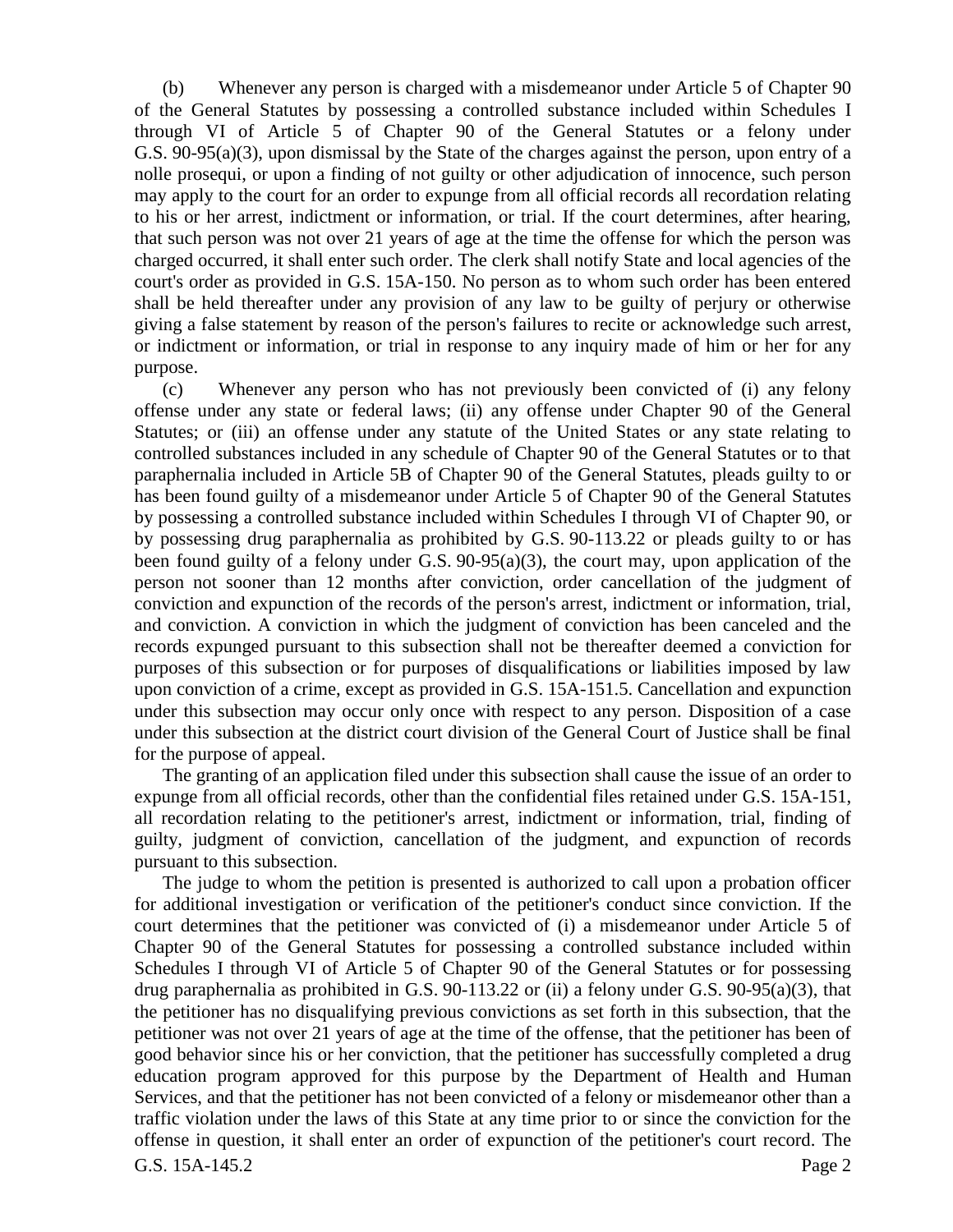(b) Whenever any person is charged with a misdemeanor under Article 5 of Chapter 90 of the General Statutes by possessing a controlled substance included within Schedules I through VI of Article 5 of Chapter 90 of the General Statutes or a felony under G.S. 90-95(a)(3), upon dismissal by the State of the charges against the person, upon entry of a nolle prosequi, or upon a finding of not guilty or other adjudication of innocence, such person may apply to the court for an order to expunge from all official records all recordation relating to his or her arrest, indictment or information, or trial. If the court determines, after hearing, that such person was not over 21 years of age at the time the offense for which the person was charged occurred, it shall enter such order. The clerk shall notify State and local agencies of the court's order as provided in G.S. 15A-150. No person as to whom such order has been entered shall be held thereafter under any provision of any law to be guilty of perjury or otherwise giving a false statement by reason of the person's failures to recite or acknowledge such arrest, or indictment or information, or trial in response to any inquiry made of him or her for any purpose.

(c) Whenever any person who has not previously been convicted of (i) any felony offense under any state or federal laws; (ii) any offense under Chapter 90 of the General Statutes; or (iii) an offense under any statute of the United States or any state relating to controlled substances included in any schedule of Chapter 90 of the General Statutes or to that paraphernalia included in Article 5B of Chapter 90 of the General Statutes, pleads guilty to or has been found guilty of a misdemeanor under Article 5 of Chapter 90 of the General Statutes by possessing a controlled substance included within Schedules I through VI of Chapter 90, or by possessing drug paraphernalia as prohibited by G.S. 90-113.22 or pleads guilty to or has been found guilty of a felony under G.S. 90-95(a)(3), the court may, upon application of the person not sooner than 12 months after conviction, order cancellation of the judgment of conviction and expunction of the records of the person's arrest, indictment or information, trial, and conviction. A conviction in which the judgment of conviction has been canceled and the records expunged pursuant to this subsection shall not be thereafter deemed a conviction for purposes of this subsection or for purposes of disqualifications or liabilities imposed by law upon conviction of a crime, except as provided in G.S. 15A-151.5. Cancellation and expunction under this subsection may occur only once with respect to any person. Disposition of a case under this subsection at the district court division of the General Court of Justice shall be final for the purpose of appeal.

The granting of an application filed under this subsection shall cause the issue of an order to expunge from all official records, other than the confidential files retained under G.S. 15A-151, all recordation relating to the petitioner's arrest, indictment or information, trial, finding of guilty, judgment of conviction, cancellation of the judgment, and expunction of records pursuant to this subsection.

G.S. 15A-145.2 Page 2 The judge to whom the petition is presented is authorized to call upon a probation officer for additional investigation or verification of the petitioner's conduct since conviction. If the court determines that the petitioner was convicted of (i) a misdemeanor under Article 5 of Chapter 90 of the General Statutes for possessing a controlled substance included within Schedules I through VI of Article 5 of Chapter 90 of the General Statutes or for possessing drug paraphernalia as prohibited in G.S. 90-113.22 or (ii) a felony under G.S. 90-95(a)(3), that the petitioner has no disqualifying previous convictions as set forth in this subsection, that the petitioner was not over 21 years of age at the time of the offense, that the petitioner has been of good behavior since his or her conviction, that the petitioner has successfully completed a drug education program approved for this purpose by the Department of Health and Human Services, and that the petitioner has not been convicted of a felony or misdemeanor other than a traffic violation under the laws of this State at any time prior to or since the conviction for the offense in question, it shall enter an order of expunction of the petitioner's court record. The